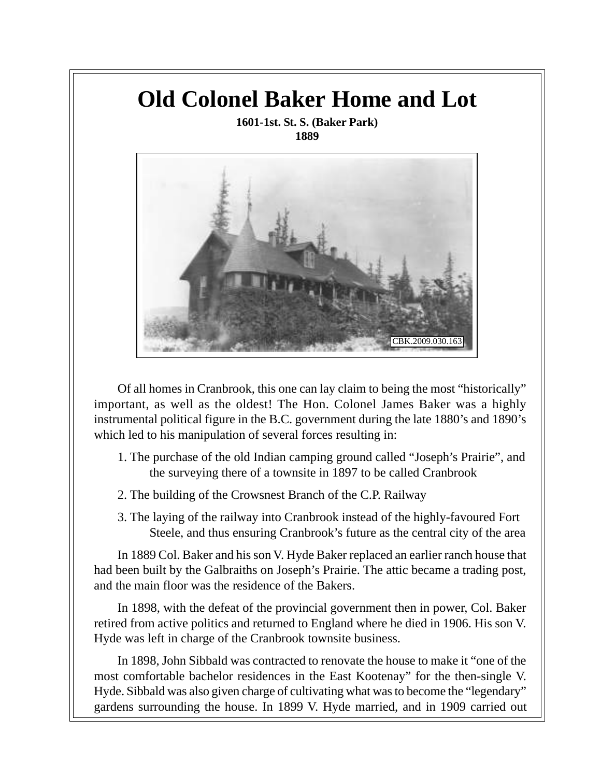## **Old Colonel Baker Home and Lot 1601-1st. St. S. (Baker Park) 1889** CBK.2009.030.163

Of all homes in Cranbrook, this one can lay claim to being the most "historically" important, as well as the oldest! The Hon. Colonel James Baker was a highly instrumental political figure in the B.C. government during the late 1880's and 1890's which led to his manipulation of several forces resulting in:

- 1. The purchase of the old Indian camping ground called "Joseph's Prairie", and the surveying there of a townsite in 1897 to be called Cranbrook
- 2. The building of the Crowsnest Branch of the C.P. Railway
- 3. The laying of the railway into Cranbrook instead of the highly-favoured Fort Steele, and thus ensuring Cranbrook's future as the central city of the area

In 1889 Col. Baker and his son V. Hyde Baker replaced an earlier ranch house that had been built by the Galbraiths on Joseph's Prairie. The attic became a trading post, and the main floor was the residence of the Bakers.

In 1898, with the defeat of the provincial government then in power, Col. Baker retired from active politics and returned to England where he died in 1906. His son V. Hyde was left in charge of the Cranbrook townsite business.

In 1898, John Sibbald was contracted to renovate the house to make it "one of the most comfortable bachelor residences in the East Kootenay" for the then-single V. Hyde. Sibbald was also given charge of cultivating what was to become the "legendary" gardens surrounding the house. In 1899 V. Hyde married, and in 1909 carried out